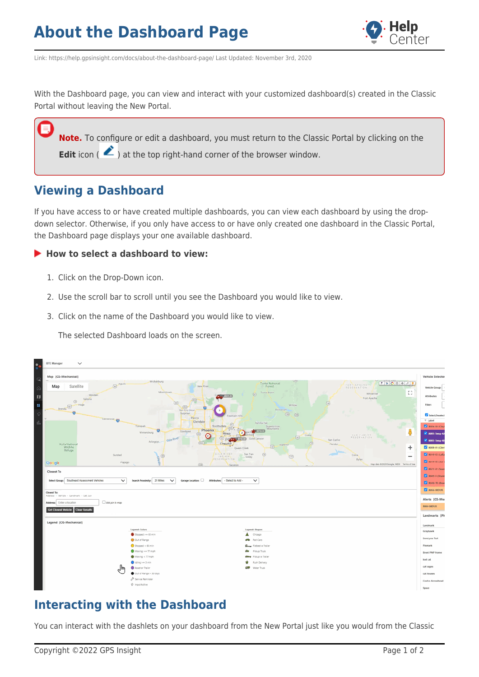

Link: https://help.gpsinsight.com/docs/about-the-dashboard-page/ Last Updated: November 3rd, 2020

With the Dashboard page, you can view and interact with your customized dashboard(s) created in the Classic Portal without leaving the New Portal.

**Note.** To configure or edit a dashboard, you must return to the Classic Portal by clicking on the **Edit** icon ( $\triangle$ ) at the top right-hand corner of the browser window.

## **Viewing a Dashboard**

If you have access to or have created multiple dashboards, you can view each dashboard by using the dropdown selector. Otherwise, if you only have access to or have only created one dashboard in the Classic Portal, the Dashboard page displays your one available dashboard.

#### ▶ How to select a dashboard to view:

- 1. Click on the Drop-Down icon.
- 2. Use the scroll bar to scroll until you see the Dashboard you would like to view.
- 3. Click on the name of the Dashboard you would like to view.

The selected Dashboard loads on the screen.



## **Interacting with the Dashboard**

You can interact with the dashlets on your dashboard from the New Portal just like you would from the Classic